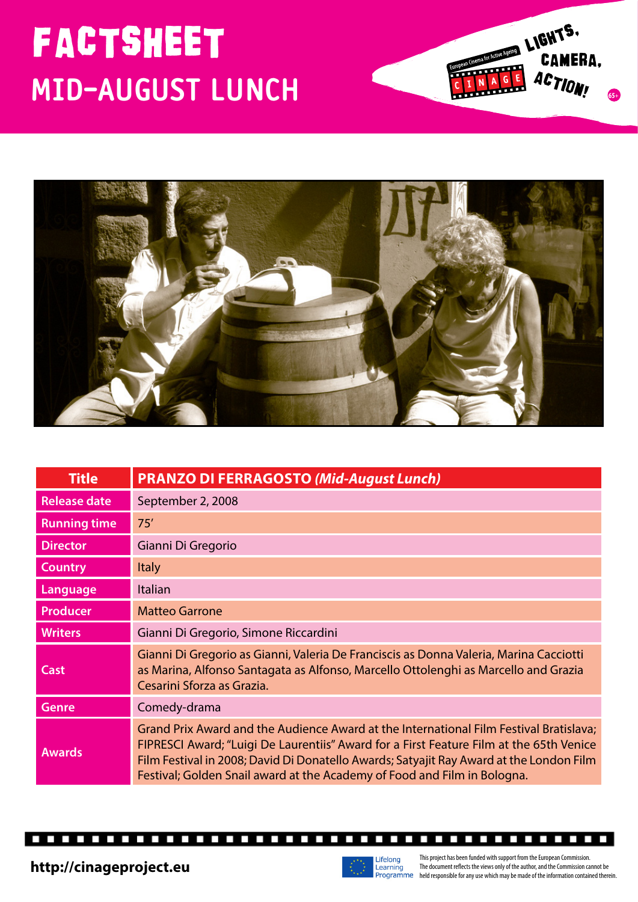## **MID-AUGUST LUNCH**





| <b>Title</b>        | <b>PRANZO DI FERRAGOSTO (Mid-August Lunch)</b>                                                                                                                                                                                                                                                                                                           |
|---------------------|----------------------------------------------------------------------------------------------------------------------------------------------------------------------------------------------------------------------------------------------------------------------------------------------------------------------------------------------------------|
| <b>Release date</b> | September 2, 2008                                                                                                                                                                                                                                                                                                                                        |
| <b>Running time</b> | 75'                                                                                                                                                                                                                                                                                                                                                      |
| <b>Director</b>     | Gianni Di Gregorio                                                                                                                                                                                                                                                                                                                                       |
| <b>Country</b>      | <b>Italy</b>                                                                                                                                                                                                                                                                                                                                             |
| Language            | Italian                                                                                                                                                                                                                                                                                                                                                  |
| Producer            | <b>Matteo Garrone</b>                                                                                                                                                                                                                                                                                                                                    |
| <b>Writers</b>      | Gianni Di Gregorio, Simone Riccardini                                                                                                                                                                                                                                                                                                                    |
| <b>Cast</b>         | Gianni Di Gregorio as Gianni, Valeria De Franciscis as Donna Valeria, Marina Cacciotti<br>as Marina, Alfonso Santagata as Alfonso, Marcello Ottolenghi as Marcello and Grazia<br>Cesarini Sforza as Grazia.                                                                                                                                              |
| <b>Genre</b>        | Comedy-drama                                                                                                                                                                                                                                                                                                                                             |
| <b>Awards</b>       | Grand Prix Award and the Audience Award at the International Film Festival Bratislava;<br>FIPRESCI Award; "Luigi De Laurentiis" Award for a First Feature Film at the 65th Venice<br>Film Festival in 2008; David Di Donatello Awards; Satyajit Ray Award at the London Film<br>Festival; Golden Snail award at the Academy of Food and Film in Bologna. |

п г П п П П П г П П П П Г П П П П г П П

----------

Г ----------



This project has been funded with support from the European Commission. The document reflects the views only of the author, and the Commission cannot be http://cinageproject.eu<br>
Programme held responsible for any use which may be made of the information contained therein.